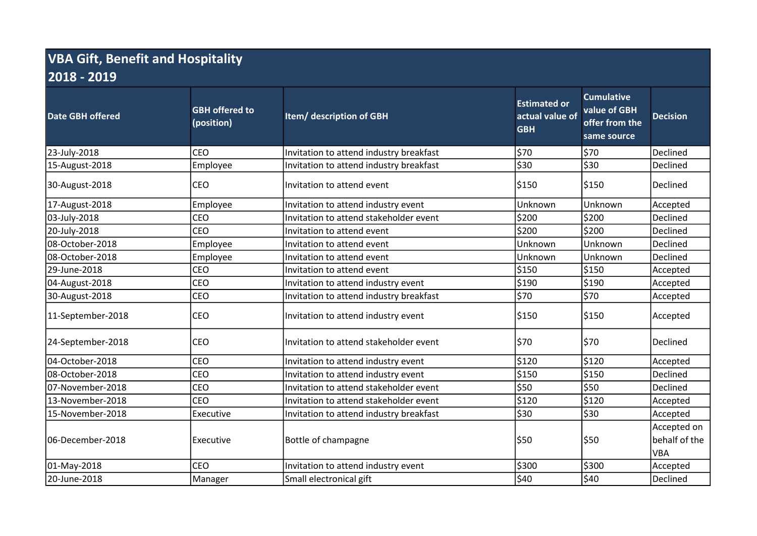## VBA Gift, Benefit and Hospitality 2018 - 2019

| <b>Date GBH offered</b> | <b>GBH offered to</b><br>(position) | Item/ description of GBH                | <b>Estimated or</b><br>actual value of<br><b>GBH</b> | <b>Cumulative</b><br>value of GBH<br>offer from the<br>same source | <b>Decision</b>                            |
|-------------------------|-------------------------------------|-----------------------------------------|------------------------------------------------------|--------------------------------------------------------------------|--------------------------------------------|
| 23-July-2018            | <b>CEO</b>                          | Invitation to attend industry breakfast | \$70                                                 | \$70                                                               | Declined                                   |
| 15-August-2018          | Employee                            | Invitation to attend industry breakfast | \$30                                                 | \$30                                                               | Declined                                   |
| 30-August-2018          | <b>CEO</b>                          | Invitation to attend event              | \$150                                                | \$150                                                              | Declined                                   |
| 17-August-2018          | Employee                            | Invitation to attend industry event     | Unknown                                              | Unknown                                                            | Accepted                                   |
| 03-July-2018            | <b>CEO</b>                          | Invitation to attend stakeholder event  | \$200                                                | \$200                                                              | Declined                                   |
| 20-July-2018            | <b>CEO</b>                          | Invitation to attend event              | \$200                                                | \$200                                                              | Declined                                   |
| 08-October-2018         | Employee                            | Invitation to attend event              | Unknown                                              | Unknown                                                            | Declined                                   |
| 08-October-2018         | Employee                            | Invitation to attend event              | Unknown                                              | Unknown                                                            | Declined                                   |
| 29-June-2018            | CEO                                 | Invitation to attend event              | \$150                                                | \$150                                                              | Accepted                                   |
| 04-August-2018          | CEO                                 | Invitation to attend industry event     | \$190                                                | \$190                                                              | Accepted                                   |
| 30-August-2018          | CEO                                 | Invitation to attend industry breakfast | \$70                                                 | \$70                                                               | Accepted                                   |
| 11-September-2018       | <b>CEO</b>                          | Invitation to attend industry event     | \$150                                                | \$150                                                              | Accepted                                   |
| 24-September-2018       | <b>CEO</b>                          | Invitation to attend stakeholder event  | \$70                                                 | \$70                                                               | Declined                                   |
| 04-October-2018         | <b>CEO</b>                          | Invitation to attend industry event     | \$120                                                | \$120                                                              | Accepted                                   |
| 08-October-2018         | CEO                                 | Invitation to attend industry event     | \$150                                                | \$150                                                              | Declined                                   |
| 07-November-2018        | <b>CEO</b>                          | Invitation to attend stakeholder event  | \$50                                                 | \$50                                                               | Declined                                   |
| 13-November-2018        | <b>CEO</b>                          | Invitation to attend stakeholder event  | \$120                                                | \$120                                                              | Accepted                                   |
| 15-November-2018        | Executive                           | Invitation to attend industry breakfast | \$30                                                 | \$30                                                               | Accepted                                   |
| l06-December-2018       | Executive                           | Bottle of champagne                     | \$50                                                 | \$50                                                               | Accepted on<br>behalf of the<br><b>VBA</b> |
| 01-May-2018             | CEO                                 | Invitation to attend industry event     | \$300                                                | \$300                                                              | Accepted                                   |
| 20-June-2018            | Manager                             | Small electronical gift                 | \$40                                                 | \$40                                                               | Declined                                   |